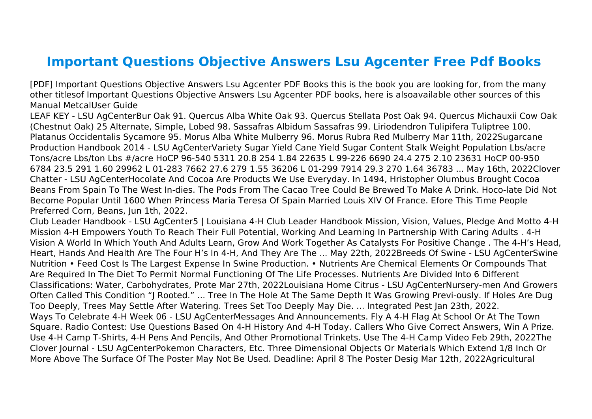## **Important Questions Objective Answers Lsu Agcenter Free Pdf Books**

[PDF] Important Questions Objective Answers Lsu Agcenter PDF Books this is the book you are looking for, from the many other titlesof Important Questions Objective Answers Lsu Agcenter PDF books, here is alsoavailable other sources of this Manual MetcalUser Guide

LEAF KEY - LSU AgCenterBur Oak 91. Quercus Alba White Oak 93. Quercus Stellata Post Oak 94. Quercus Michauxii Cow Oak (Chestnut Oak) 25 Alternate, Simple, Lobed 98. Sassafras Albidum Sassafras 99. Liriodendron Tulipifera Tuliptree 100. Platanus Occidentalis Sycamore 95. Morus Alba White Mulberry 96. Morus Rubra Red Mulberry Mar 11th, 2022Sugarcane Production Handbook 2014 - LSU AgCenterVariety Sugar Yield Cane Yield Sugar Content Stalk Weight Population Lbs/acre Tons/acre Lbs/ton Lbs #/acre HoCP 96-540 5311 20.8 254 1.84 22635 L 99-226 6690 24.4 275 2.10 23631 HoCP 00-950 6784 23.5 291 1.60 29962 L 01-283 7662 27.6 279 1.55 36206 L 01-299 7914 29.3 270 1.64 36783 ... May 16th, 2022Clover Chatter - LSU AgCenterHocolate And Cocoa Are Products We Use Everyday. In 1494, Hristopher Olumbus Brought Cocoa Beans From Spain To The West In-dies. The Pods From The Cacao Tree Could Be Brewed To Make A Drink. Hoco-late Did Not Become Popular Until 1600 When Princess Maria Teresa Of Spain Married Louis XIV Of France. Efore This Time People Preferred Corn, Beans, Jun 1th, 2022.

Club Leader Handbook - LSU AgCenter5 | Louisiana 4-H Club Leader Handbook Mission, Vision, Values, Pledge And Motto 4-H Mission 4-H Empowers Youth To Reach Their Full Potential, Working And Learning In Partnership With Caring Adults . 4-H Vision A World In Which Youth And Adults Learn, Grow And Work Together As Catalysts For Positive Change . The 4-H's Head, Heart, Hands And Health Are The Four H's In 4-H, And They Are The ... May 22th, 2022Breeds Of Swine - LSU AgCenterSwine Nutrition • Feed Cost Is The Largest Expense In Swine Production. • Nutrients Are Chemical Elements Or Compounds That Are Required In The Diet To Permit Normal Functioning Of The Life Processes. Nutrients Are Divided Into 6 Different Classifications: Water, Carbohydrates, Prote Mar 27th, 2022Louisiana Home Citrus - LSU AgCenterNursery-men And Growers Often Called This Condition "J Rooted." ... Tree In The Hole At The Same Depth It Was Growing Previ-ously. If Holes Are Dug Too Deeply, Trees May Settle After Watering. Trees Set Too Deeply May Die. ... Integrated Pest Jan 23th, 2022. Ways To Celebrate 4-H Week 06 - LSU AgCenterMessages And Announcements. Fly A 4-H Flag At School Or At The Town Square. Radio Contest: Use Questions Based On 4-H History And 4-H Today. Callers Who Give Correct Answers, Win A Prize. Use 4-H Camp T-Shirts, 4-H Pens And Pencils, And Other Promotional Trinkets. Use The 4-H Camp Video Feb 29th, 2022The Clover Journal - LSU AgCenterPokemon Characters, Etc. Three Dimensional Objects Or Materials Which Extend 1/8 Inch Or More Above The Surface Of The Poster May Not Be Used. Deadline: April 8 The Poster Desig Mar 12th, 2022Agricultural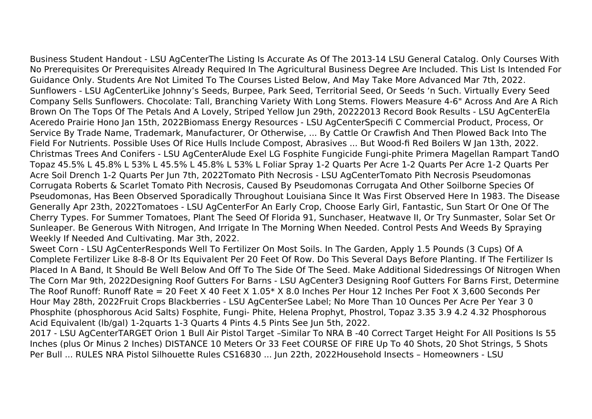Business Student Handout - LSU AgCenterThe Listing Is Accurate As Of The 2013-14 LSU General Catalog. Only Courses With

No Prerequisites Or Prerequisites Already Required In The Agricultural Business Degree Are Included. This List Is Intended For Guidance Only. Students Are Not Limited To The Courses Listed Below, And May Take More Advanced Mar 7th, 2022. Sunflowers - LSU AgCenterLike Johnny's Seeds, Burpee, Park Seed, Territorial Seed, Or Seeds 'n Such. Virtually Every Seed Company Sells Sunflowers. Chocolate: Tall, Branching Variety With Long Stems. Flowers Measure 4-6" Across And Are A Rich Brown On The Tops Of The Petals And A Lovely, Striped Yellow Jun 29th, 20222013 Record Book Results - LSU AgCenterEla Aceredo Prairie Hono Jan 15th, 2022Biomass Energy Resources - LSU AgCenterSpecifi C Commercial Product, Process, Or Service By Trade Name, Trademark, Manufacturer, Or Otherwise, ... By Cattle Or Crawfish And Then Plowed Back Into The Field For Nutrients. Possible Uses Of Rice Hulls Include Compost, Abrasives ... But Wood-fi Red Boilers W Jan 13th, 2022. Christmas Trees And Conifers - LSU AgCenterAlude Exel LG Fosphite Fungicide Fungi‐phite Primera Magellan Rampart TandO Topaz 45.5% L 45.8% L 53% L 45.5% L 45.8% L 53% L Foliar Spray 1‐2 Quarts Per Acre 1‐2 Quarts Per Acre 1‐2 Quarts Per Acre Soil Drench 1‐2 Quarts Per Jun 7th, 2022Tomato Pith Necrosis - LSU AgCenterTomato Pith Necrosis Pseudomonas Corrugata Roberts & Scarlet Tomato Pith Necrosis, Caused By Pseudomonas Corrugata And Other Soilborne Species Of Pseudomonas, Has Been Observed Sporadically Throughout Louisiana Since It Was First Observed Here In 1983. The Disease Generally Apr 23th, 2022Tomatoes - LSU AgCenterFor An Early Crop, Choose Early Girl, Fantastic, Sun Start Or One Of The Cherry Types. For Summer Tomatoes, Plant The Seed Of Florida 91, Sunchaser, Heatwave II, Or Try Sunmaster, Solar Set Or Sunleaper. Be Generous With Nitrogen, And Irrigate In The Morning When Needed. Control Pests And Weeds By Spraying Weekly If Needed And Cultivating. Mar 3th, 2022.

Sweet Corn - LSU AgCenterResponds Well To Fertilizer On Most Soils. In The Garden, Apply 1.5 Pounds (3 Cups) Of A Complete Fertilizer Like 8-8-8 Or Its Equivalent Per 20 Feet Of Row. Do This Several Days Before Planting. If The Fertilizer Is Placed In A Band, It Should Be Well Below And Off To The Side Of The Seed. Make Additional Sidedressings Of Nitrogen When The Corn Mar 9th, 2022Designing Roof Gutters For Barns - LSU AgCenter3 Designing Roof Gutters For Barns First, Determine The Roof Runoff: Runoff Rate = 20 Feet X 40 Feet X 1.05\* X 8.0 Inches Per Hour 12 Inches Per Foot X 3,600 Seconds Per Hour May 28th, 2022Fruit Crops Blackberries - LSU AgCenterSee Label; No More Than 10 Ounces Per Acre Per Year 3 0 Phosphite (phosphorous Acid Salts) Fosphite, Fungi‐ Phite, Helena Prophyt, Phostrol, Topaz 3.35 3.9 4.2 4.32 Phosphorous Acid Equivalent (lb/gal) 1‐2quarts 1‐3 Quarts 4 Pints 4.5 Pints See Jun 5th, 2022.

2017 - LSU AgCenterTARGET Orion 1 Bull Air Pistol Target –Similar To NRA B -40 Correct Target Height For All Positions Is 55 Inches (plus Or Minus 2 Inches) DISTANCE 10 Meters Or 33 Feet COURSE OF FIRE Up To 40 Shots, 20 Shot Strings, 5 Shots Per Bull ... RULES NRA Pistol Silhouette Rules CS16830 ... Jun 22th, 2022Household Insects – Homeowners - LSU